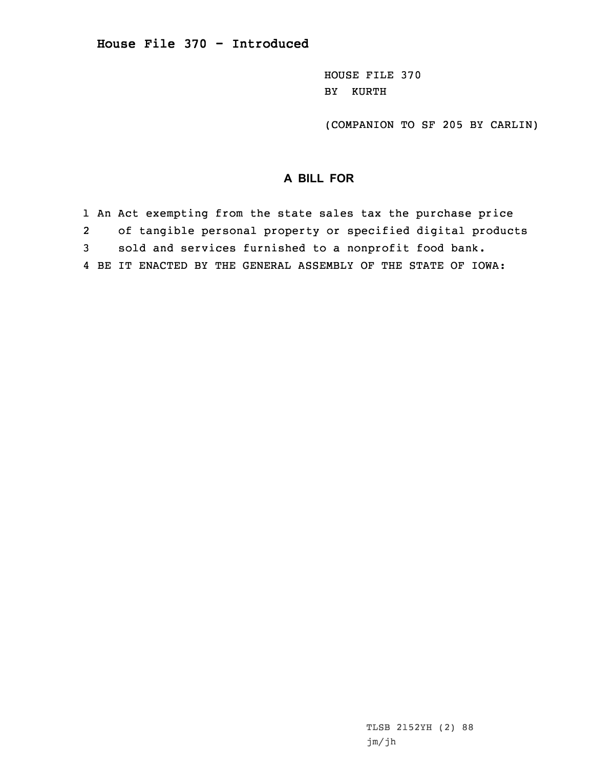HOUSE FILE 370 BY KURTH

(COMPANION TO SF 205 BY CARLIN)

## **A BILL FOR**

1 An Act exempting from the state sales tax the purchase price 2 of tangible personal property or specified digital products 3 sold and services furnished to <sup>a</sup> nonprofit food bank. 4 BE IT ENACTED BY THE GENERAL ASSEMBLY OF THE STATE OF IOWA: